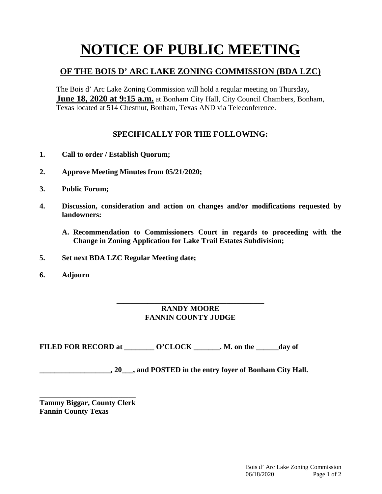## **NOTICE OF PUBLIC MEETING**

## **OF THE BOIS D' ARC LAKE ZONING COMMISSION (BDA LZC)**

The Bois d' Arc Lake Zoning Commission will hold a regular meeting on Thursday**, June 18, 2020 at 9:15 a.m.** at Bonham City Hall, City Council Chambers, Bonham, Texas located at 514 Chestnut, Bonham, Texas AND via Teleconference.

## **SPECIFICALLY FOR THE FOLLOWING:**

- **1. Call to order / Establish Quorum;**
- **2. Approve Meeting Minutes from 05/21/2020;**
- **3. Public Forum;**
- **4. Discussion, consideration and action on changes and/or modifications requested by landowners:**
	- **A. Recommendation to Commissioners Court in regards to proceeding with the Change in Zoning Application for Lake Trail Estates Subdivision;**
- **5. Set next BDA LZC Regular Meeting date;**
- **6. Adjourn**

## **\_\_\_\_\_\_\_\_\_\_\_\_\_\_\_\_\_\_\_\_\_\_\_\_\_\_\_\_\_\_\_\_\_\_\_\_\_\_\_\_\_\_\_ RANDY MOORE FANNIN COUNTY JUDGE**

FILED FOR RECORD at \_\_\_\_\_\_\_\_ O'CLOCK \_\_\_\_\_\_\_. M. on the \_\_\_\_\_\_day of

**\_\_\_\_\_\_\_\_\_\_\_\_\_\_\_\_\_\_\_, 20\_\_\_, and POSTED in the entry foyer of Bonham City Hall.**

**\_\_\_\_\_\_\_\_\_\_\_\_\_\_\_\_\_\_\_\_\_\_\_\_\_\_\_\_ Tammy Biggar, County Clerk Fannin County Texas**